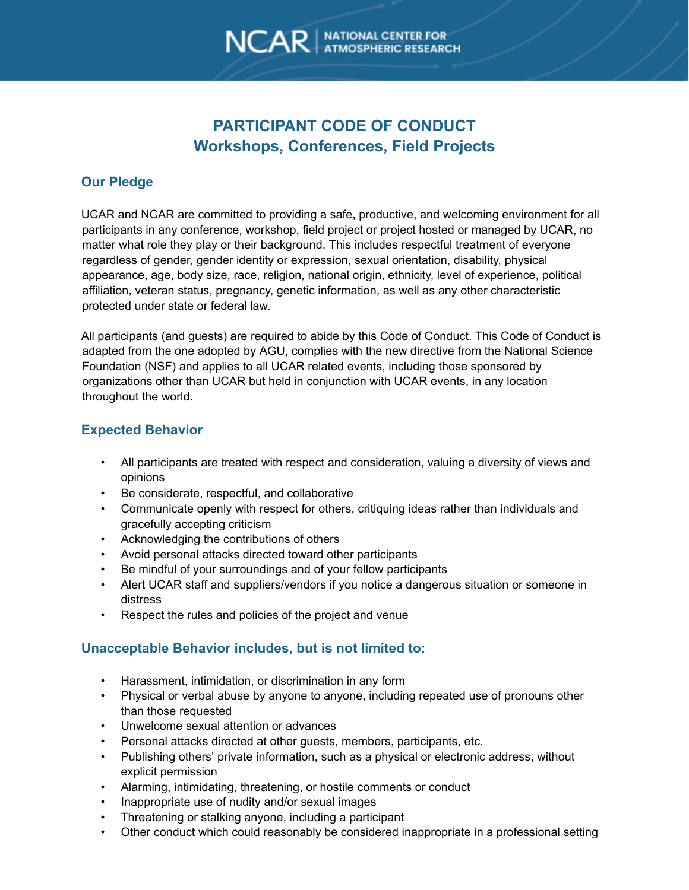# **PARTICIPANT CODE OF CONDUCT Workshops, Conferences, Field Projects**

# **Our Pledge**

UCAR and NCAR are committed to providing a safe, productive, and welcoming environment for all participants in any conference, workshop, field project or project hosted or managed by UCAR, no matter what role they play or their background. This includes respectful treatment of everyone regardless of gender, gender identity or expression, sexual orientation, disability, physical appearance, age, body size, race, religion, national origin, ethnicity, level of experience, political affiliation, veteran status, pregnancy, genetic information, as well as any other characteristic protected under state or federal law.

All participants (and guests) are required to abide by this Code of Conduct. This Code of Conduct is adapted from the one adopted by AGU, complies with the new directive from the National Science Foundation (NSF) and applies to all UCAR related events, including those sponsored by organizations other than UCAR but held in conjunction with UCAR events, in any location throughout the world.

# **Expected Behavior**

- All participants are treated with respect and consideration, valuing a diversity of views and opinions
- Be considerate, respectful, and collaborative
- Communicate openly with respect for others, critiquing ideas rather than individuals and gracefully accepting criticism
- Acknowledging the contributions of others
- Avoid personal attacks directed toward other participants
- Be mindful of your surroundings and of your fellow participants
- Alert UCAR staff and suppliers/vendors if you notice a dangerous situation or someone in distress
- Respect the rules and policies of the project and venue

## **Unacceptable Behavior includes, but is not limited to:**

- Harassment, intimidation, or discrimination in any form
- Physical or verbal abuse by anyone to anyone, including repeated use of pronouns other than those requested
- Unwelcome sexual attention or advances
- Personal attacks directed at other guests, members, participants, etc.
- Publishing others' private information, such as a physical or electronic address, without explicit permission
- Alarming, intimidating, threatening, or hostile comments or conduct
- Inappropriate use of nudity and/or sexual images
- Threatening or stalking anyone, including a participant
- Other conduct which could reasonably be considered inappropriate in a professional setting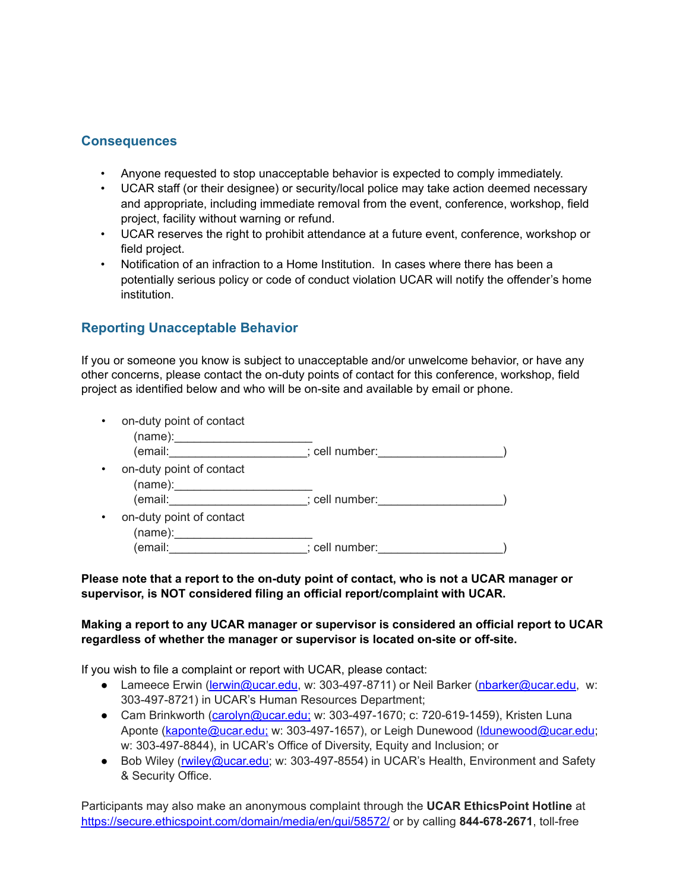### **Consequences**

- Anyone requested to stop unacceptable behavior is expected to comply immediately.
- UCAR staff (or their designee) or security/local police may take action deemed necessary and appropriate, including immediate removal from the event, conference, workshop, field project, facility without warning or refund.
- UCAR reserves the right to prohibit attendance at a future event, conference, workshop or field project.
- Notification of an infraction to a Home Institution. In cases where there has been a potentially serious policy or code of conduct violation UCAR will notify the offender's home institution.

# **Reporting Unacceptable Behavior**

If you or someone you know is subject to unacceptable and/or unwelcome behavior, or have any other concerns, please contact the on-duty points of contact for this conference, workshop, field project as identified below and who will be on-site and available by email or phone.

| $\bullet$ | on-duty point of contact<br>(name):                                                                                                                                                                                            |                |  |
|-----------|--------------------------------------------------------------------------------------------------------------------------------------------------------------------------------------------------------------------------------|----------------|--|
|           | (email:                                                                                                                                                                                                                        | ; cell number: |  |
| $\bullet$ | on-duty point of contact<br>(name):                                                                                                                                                                                            |                |  |
|           | (email: and a set of the set of the set of the set of the set of the set of the set of the set of the set of the set of the set of the set of the set of the set of the set of the set of the set of the set of the set of the | ; cell number: |  |
| $\bullet$ | on-duty point of contact<br>(name):                                                                                                                                                                                            |                |  |
|           | (email:                                                                                                                                                                                                                        | ; cell number: |  |

#### **Please note that a report to the on-duty point of contact, who is not a UCAR manager or supervisor, is NOT considered filing an official report/complaint with UCAR.**

#### **Making a report to any UCAR manager or supervisor is considered an official report to UCAR regardless of whether the manager or supervisor is located on-site or off-site.**

If you wish to file a complaint or report with UCAR, please contact:

- Lameece Erwin (lerwin@ucar.edu, w: 303-497-8711) or Neil Barker (nbarker@ucar.edu, w: 303-497-8721) in UCAR's Human Resources Department;
- Cam Brinkworth (carolyn@ucar.edu; w: 303-497-1670; c: 720-619-1459), Kristen Luna Aponte (kaponte@ucar.edu; w: 303-497-1657), or Leigh Dunewood (ldunewood@ucar.edu; w: 303-497-8844), in UCAR's Office of Diversity, Equity and Inclusion; or
- Bob Wiley (rwiley@ucar.edu; w: 303-497-8554) in UCAR's Health, Environment and Safety & Security Office.

Participants may also make an anonymous complaint through the **UCAR EthicsPoint Hotline** at https://secure.ethicspoint.com/domain/media/en/gui/58572/ or by calling **844-678-2671**, toll-free